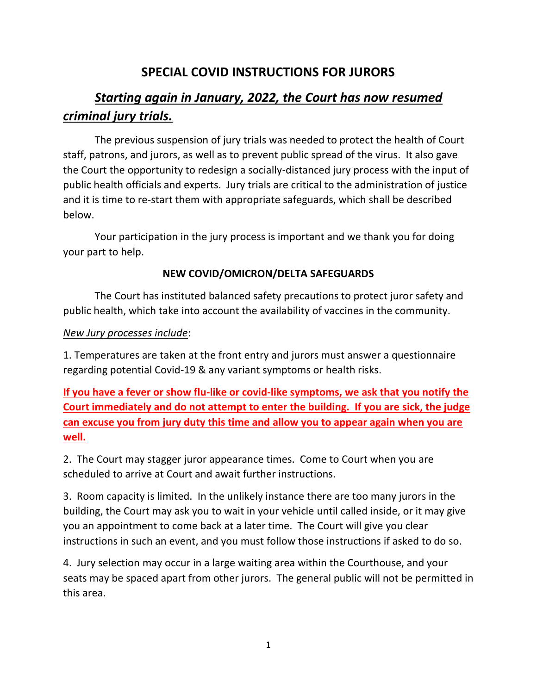# **SPECIAL COVID INSTRUCTIONS FOR JURORS**

# *Starting again in January, 2022, the Court has now resumed criminal jury trials.*

The previous suspension of jury trials was needed to protect the health of Court staff, patrons, and jurors, as well as to prevent public spread of the virus. It also gave the Court the opportunity to redesign a socially-distanced jury process with the input of public health officials and experts. Jury trials are critical to the administration of justice and it is time to re-start them with appropriate safeguards, which shall be described below.

Your participation in the jury process is important and we thank you for doing your part to help.

# **NEW COVID/OMICRON/DELTA SAFEGUARDS**

The Court has instituted balanced safety precautions to protect juror safety and public health, which take into account the availability of vaccines in the community.

# *New Jury processes include*:

1. Temperatures are taken at the front entry and jurors must answer a questionnaire regarding potential Covid-19 & any variant symptoms or health risks.

**If you have a fever or show flu-like or covid-like symptoms, we ask that you notify the Court immediately and do not attempt to enter the building. If you are sick, the judge can excuse you from jury duty this time and allow you to appear again when you are well.**

2. The Court may stagger juror appearance times. Come to Court when you are scheduled to arrive at Court and await further instructions.

3. Room capacity is limited. In the unlikely instance there are too many jurors in the building, the Court may ask you to wait in your vehicle until called inside, or it may give you an appointment to come back at a later time. The Court will give you clear instructions in such an event, and you must follow those instructions if asked to do so.

4. Jury selection may occur in a large waiting area within the Courthouse, and your seats may be spaced apart from other jurors. The general public will not be permitted in this area.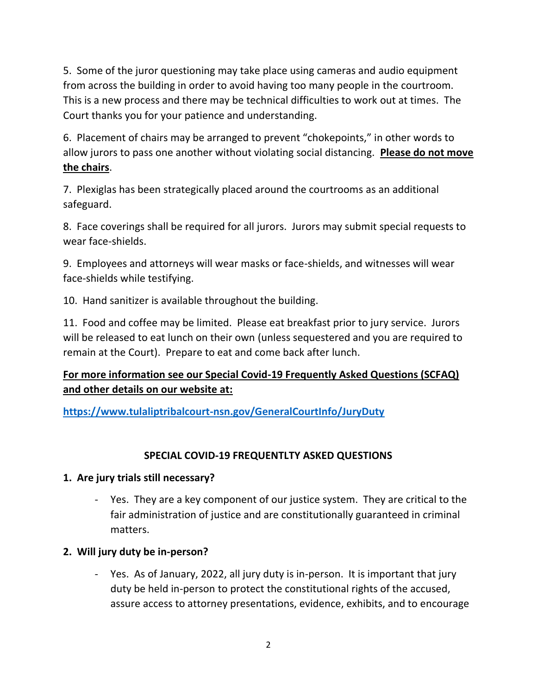5. Some of the juror questioning may take place using cameras and audio equipment from across the building in order to avoid having too many people in the courtroom. This is a new process and there may be technical difficulties to work out at times. The Court thanks you for your patience and understanding.

6. Placement of chairs may be arranged to prevent "chokepoints," in other words to allow jurors to pass one another without violating social distancing. **Please do not move the chairs**.

7. Plexiglas has been strategically placed around the courtrooms as an additional safeguard.

8. Face coverings shall be required for all jurors. Jurors may submit special requests to wear face-shields.

9. Employees and attorneys will wear masks or face-shields, and witnesses will wear face-shields while testifying.

10. Hand sanitizer is available throughout the building.

11. Food and coffee may be limited. Please eat breakfast prior to jury service. Jurors will be released to eat lunch on their own (unless sequestered and you are required to remain at the Court). Prepare to eat and come back after lunch.

# **For more information see our Special Covid-19 Frequently Asked Questions (SCFAQ) and other details on our website at:**

**<https://www.tulaliptribalcourt-nsn.gov/GeneralCourtInfo/JuryDuty>**

# **SPECIAL COVID-19 FREQUENTLTY ASKED QUESTIONS**

# **1. Are jury trials still necessary?**

- Yes. They are a key component of our justice system. They are critical to the fair administration of justice and are constitutionally guaranteed in criminal matters.

# **2. Will jury duty be in-person?**

- Yes. As of January, 2022, all jury duty is in-person. It is important that jury duty be held in-person to protect the constitutional rights of the accused, assure access to attorney presentations, evidence, exhibits, and to encourage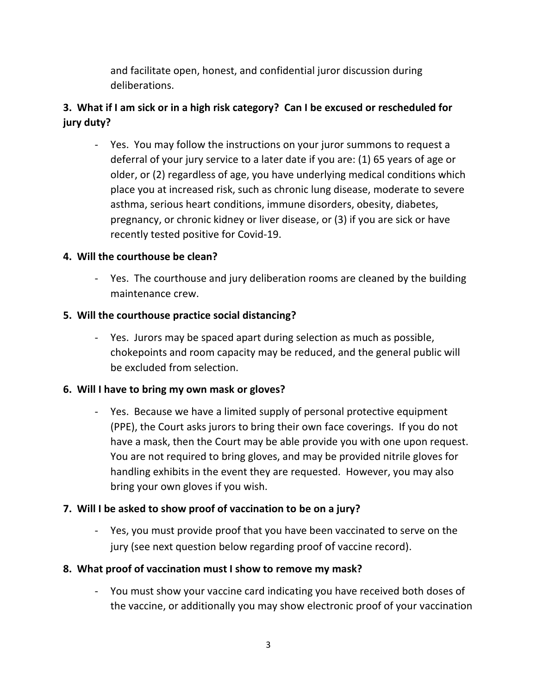and facilitate open, honest, and confidential juror discussion during deliberations.

# **3. What if I am sick or in a high risk category? Can I be excused or rescheduled for jury duty?**

- Yes. You may follow the instructions on your juror summons to request a deferral of your jury service to a later date if you are: (1) 65 years of age or older, or (2) regardless of age, you have underlying medical conditions which place you at increased risk, such as chronic lung disease, moderate to severe asthma, serious heart conditions, immune disorders, obesity, diabetes, pregnancy, or chronic kidney or liver disease, or (3) if you are sick or have recently tested positive for Covid-19.

# **4. Will the courthouse be clean?**

- Yes. The courthouse and jury deliberation rooms are cleaned by the building maintenance crew.

# **5. Will the courthouse practice social distancing?**

- Yes. Jurors may be spaced apart during selection as much as possible, chokepoints and room capacity may be reduced, and the general public will be excluded from selection.

# **6. Will I have to bring my own mask or gloves?**

- Yes. Because we have a limited supply of personal protective equipment (PPE), the Court asks jurors to bring their own face coverings. If you do not have a mask, then the Court may be able provide you with one upon request. You are not required to bring gloves, and may be provided nitrile gloves for handling exhibits in the event they are requested. However, you may also bring your own gloves if you wish.

# **7. Will I be asked to show proof of vaccination to be on a jury?**

- Yes, you must provide proof that you have been vaccinated to serve on the jury (see next question below regarding proof of vaccine record).

# **8. What proof of vaccination must I show to remove my mask?**

- You must show your vaccine card indicating you have received both doses of the vaccine, or additionally you may show electronic proof of your vaccination